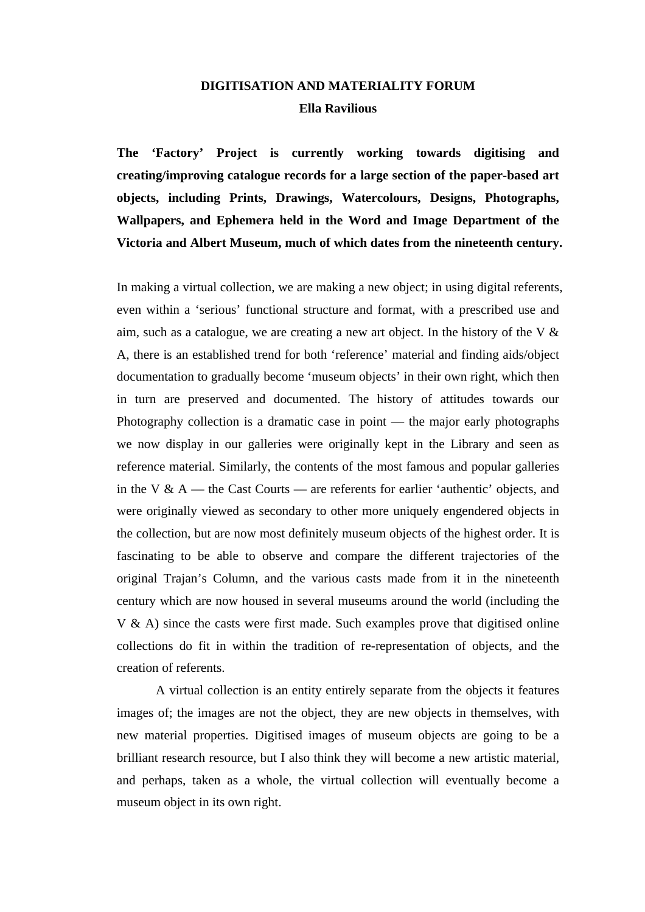# **DIGITISATION AND MATERIALITY FORUM Ella Ravilious**

**The 'Factory' Project is currently working towards digitising and creating/improving catalogue records for a large section of the paper-based art objects, including Prints, Drawings, Watercolours, Designs, Photographs, Wallpapers, and Ephemera held in the Word and Image Department of the Victoria and Albert Museum, much of which dates from the nineteenth century.** 

In making a virtual collection, we are making a new object; in using digital referents, even within a 'serious' functional structure and format, with a prescribed use and aim, such as a catalogue, we are creating a new art object. In the history of the V & A, there is an established trend for both 'reference' material and finding aids/object documentation to gradually become 'museum objects' in their own right, which then in turn are preserved and documented. The history of attitudes towards our Photography collection is a dramatic case in point — the major early photographs we now display in our galleries were originally kept in the Library and seen as reference material. Similarly, the contents of the most famous and popular galleries in the V  $\&$  A — the Cast Courts — are referents for earlier 'authentic' objects, and were originally viewed as secondary to other more uniquely engendered objects in the collection, but are now most definitely museum objects of the highest order. It is fascinating to be able to observe and compare the different trajectories of the original Trajan's Column, and the various casts made from it in the nineteenth century which are now housed in several museums around the world (including the V & A) since the casts were first made. Such examples prove that digitised online collections do fit in within the tradition of re-representation of objects, and the creation of referents.

 A virtual collection is an entity entirely separate from the objects it features images of; the images are not the object, they are new objects in themselves, with new material properties. Digitised images of museum objects are going to be a brilliant research resource, but I also think they will become a new artistic material, and perhaps, taken as a whole, the virtual collection will eventually become a museum object in its own right.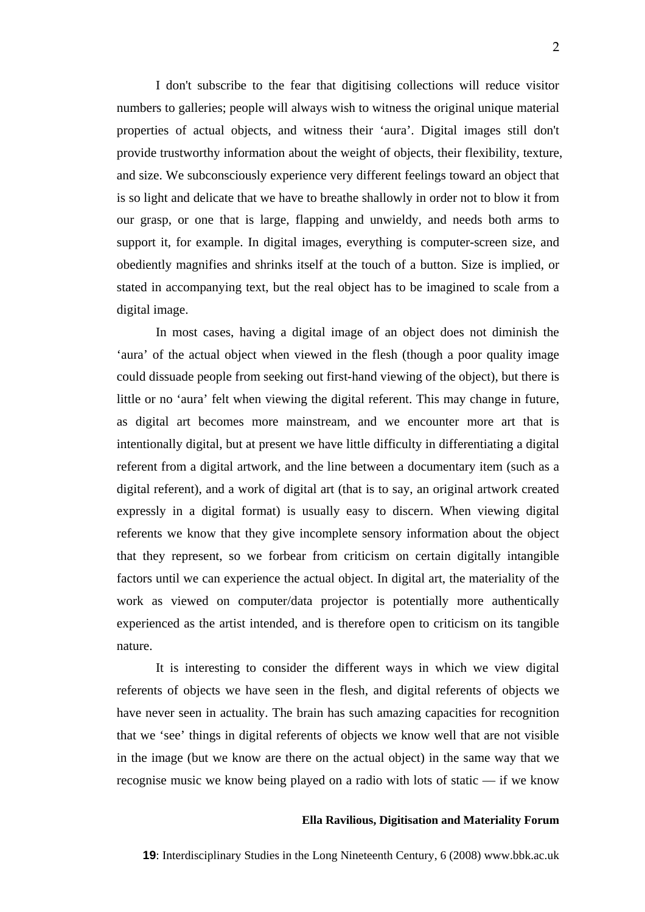I don't subscribe to the fear that digitising collections will reduce visitor numbers to galleries; people will always wish to witness the original unique material properties of actual objects, and witness their 'aura'. Digital images still don't provide trustworthy information about the weight of objects, their flexibility, texture, and size. We subconsciously experience very different feelings toward an object that is so light and delicate that we have to breathe shallowly in order not to blow it from our grasp, or one that is large, flapping and unwieldy, and needs both arms to support it, for example. In digital images, everything is computer-screen size, and obediently magnifies and shrinks itself at the touch of a button. Size is implied, or stated in accompanying text, but the real object has to be imagined to scale from a digital image.

In most cases, having a digital image of an object does not diminish the 'aura' of the actual object when viewed in the flesh (though a poor quality image could dissuade people from seeking out first-hand viewing of the object), but there is little or no 'aura' felt when viewing the digital referent. This may change in future, as digital art becomes more mainstream, and we encounter more art that is intentionally digital, but at present we have little difficulty in differentiating a digital referent from a digital artwork, and the line between a documentary item (such as a digital referent), and a work of digital art (that is to say, an original artwork created expressly in a digital format) is usually easy to discern. When viewing digital referents we know that they give incomplete sensory information about the object that they represent, so we forbear from criticism on certain digitally intangible factors until we can experience the actual object. In digital art, the materiality of the work as viewed on computer/data projector is potentially more authentically experienced as the artist intended, and is therefore open to criticism on its tangible nature.

It is interesting to consider the different ways in which we view digital referents of objects we have seen in the flesh, and digital referents of objects we have never seen in actuality. The brain has such amazing capacities for recognition that we 'see' things in digital referents of objects we know well that are not visible in the image (but we know are there on the actual object) in the same way that we recognise music we know being played on a radio with lots of static — if we know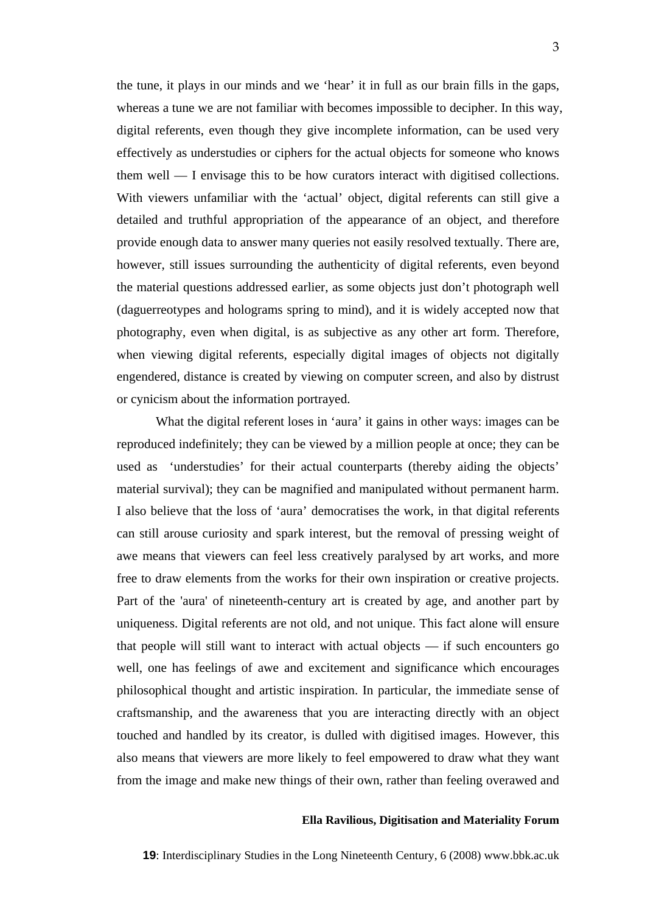the tune, it plays in our minds and we 'hear' it in full as our brain fills in the gaps, whereas a tune we are not familiar with becomes impossible to decipher. In this way, digital referents, even though they give incomplete information, can be used very effectively as understudies or ciphers for the actual objects for someone who knows them well — I envisage this to be how curators interact with digitised collections. With viewers unfamiliar with the 'actual' object, digital referents can still give a detailed and truthful appropriation of the appearance of an object, and therefore provide enough data to answer many queries not easily resolved textually. There are, however, still issues surrounding the authenticity of digital referents, even beyond the material questions addressed earlier, as some objects just don't photograph well (daguerreotypes and holograms spring to mind), and it is widely accepted now that photography, even when digital, is as subjective as any other art form. Therefore, when viewing digital referents, especially digital images of objects not digitally engendered, distance is created by viewing on computer screen, and also by distrust or cynicism about the information portrayed.

What the digital referent loses in 'aura' it gains in other ways: images can be reproduced indefinitely; they can be viewed by a million people at once; they can be used as 'understudies' for their actual counterparts (thereby aiding the objects' material survival); they can be magnified and manipulated without permanent harm. I also believe that the loss of 'aura' democratises the work, in that digital referents can still arouse curiosity and spark interest, but the removal of pressing weight of awe means that viewers can feel less creatively paralysed by art works, and more free to draw elements from the works for their own inspiration or creative projects. Part of the 'aura' of nineteenth-century art is created by age, and another part by uniqueness. Digital referents are not old, and not unique. This fact alone will ensure that people will still want to interact with actual objects — if such encounters go well, one has feelings of awe and excitement and significance which encourages philosophical thought and artistic inspiration. In particular, the immediate sense of craftsmanship, and the awareness that you are interacting directly with an object touched and handled by its creator, is dulled with digitised images. However, this also means that viewers are more likely to feel empowered to draw what they want from the image and make new things of their own, rather than feeling overawed and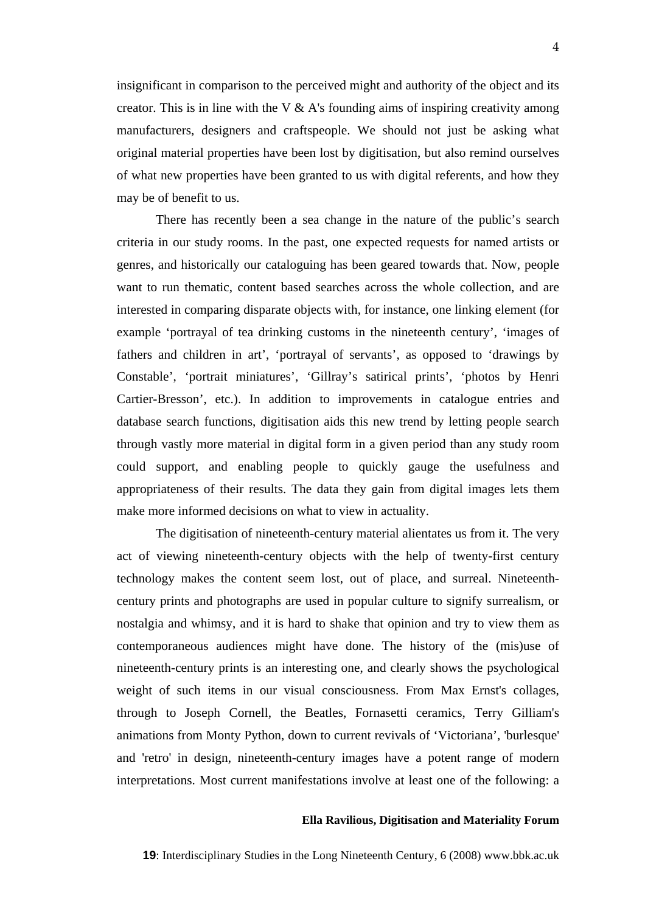insignificant in comparison to the perceived might and authority of the object and its creator. This is in line with the V  $\&$  A's founding aims of inspiring creativity among manufacturers, designers and craftspeople. We should not just be asking what original material properties have been lost by digitisation, but also remind ourselves of what new properties have been granted to us with digital referents, and how they may be of benefit to us.

There has recently been a sea change in the nature of the public's search criteria in our study rooms. In the past, one expected requests for named artists or genres, and historically our cataloguing has been geared towards that. Now, people want to run thematic, content based searches across the whole collection, and are interested in comparing disparate objects with, for instance, one linking element (for example 'portrayal of tea drinking customs in the nineteenth century', 'images of fathers and children in art', 'portrayal of servants', as opposed to 'drawings by Constable', 'portrait miniatures', 'Gillray's satirical prints', 'photos by Henri Cartier-Bresson', etc.). In addition to improvements in catalogue entries and database search functions, digitisation aids this new trend by letting people search through vastly more material in digital form in a given period than any study room could support, and enabling people to quickly gauge the usefulness and appropriateness of their results. The data they gain from digital images lets them make more informed decisions on what to view in actuality.

The digitisation of nineteenth-century material alientates us from it. The very act of viewing nineteenth-century objects with the help of twenty-first century technology makes the content seem lost, out of place, and surreal. Nineteenthcentury prints and photographs are used in popular culture to signify surrealism, or nostalgia and whimsy, and it is hard to shake that opinion and try to view them as contemporaneous audiences might have done. The history of the (mis)use of nineteenth-century prints is an interesting one, and clearly shows the psychological weight of such items in our visual consciousness. From Max Ernst's collages, through to Joseph Cornell, the Beatles, Fornasetti ceramics, Terry Gilliam's animations from Monty Python, down to current revivals of 'Victoriana', 'burlesque' and 'retro' in design, nineteenth-century images have a potent range of modern interpretations. Most current manifestations involve at least one of the following: a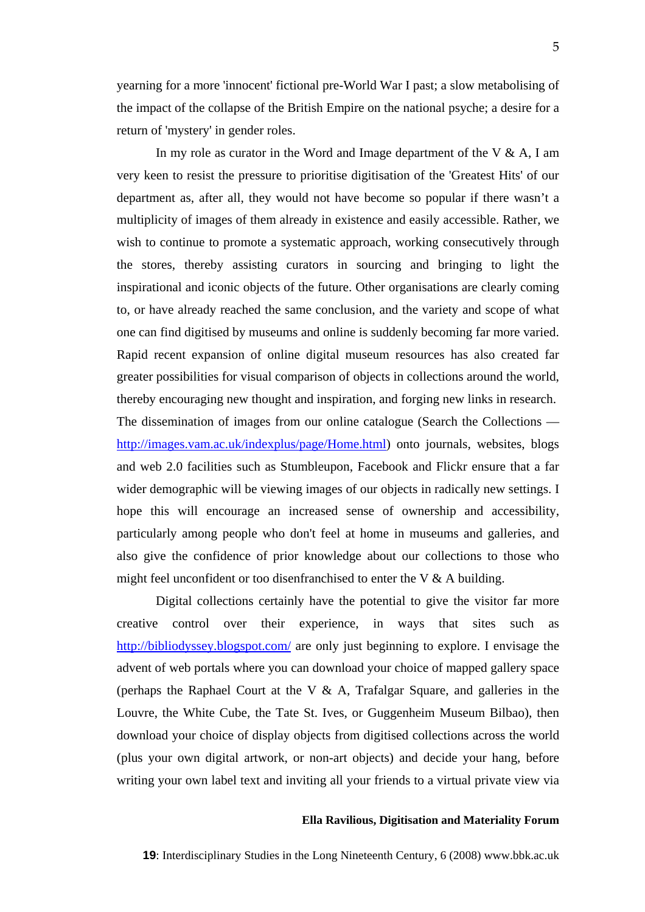yearning for a more 'innocent' fictional pre-World War I past; a slow metabolising of the impact of the collapse of the British Empire on the national psyche; a desire for a return of 'mystery' in gender roles.

In my role as curator in the Word and Image department of the V  $\&$  A, I am very keen to resist the pressure to prioritise digitisation of the 'Greatest Hits' of our department as, after all, they would not have become so popular if there wasn't a multiplicity of images of them already in existence and easily accessible. Rather, we wish to continue to promote a systematic approach, working consecutively through the stores, thereby assisting curators in sourcing and bringing to light the inspirational and iconic objects of the future. Other organisations are clearly coming to, or have already reached the same conclusion, and the variety and scope of what one can find digitised by museums and online is suddenly becoming far more varied. Rapid recent expansion of online digital museum resources has also created far greater possibilities for visual comparison of objects in collections around the world, thereby encouraging new thought and inspiration, and forging new links in research. The dissemination of images from our online catalogue (Search the Collections <http://images.vam.ac.uk/indexplus/page/Home.html>) onto journals, websites, blogs and web 2.0 facilities such as Stumbleupon, Facebook and Flickr ensure that a far wider demographic will be viewing images of our objects in radically new settings. I hope this will encourage an increased sense of ownership and accessibility, particularly among people who don't feel at home in museums and galleries, and also give the confidence of prior knowledge about our collections to those who might feel unconfident or too disenfranchised to enter the  $V & A$  building.

Digital collections certainly have the potential to give the visitor far more creative control over their experience, in ways that sites such as <http://bibliodyssey.blogspot.com/> are only just beginning to explore. I envisage the advent of web portals where you can download your choice of mapped gallery space (perhaps the Raphael Court at the V & A, Trafalgar Square, and galleries in the Louvre, the White Cube, the Tate St. Ives, or Guggenheim Museum Bilbao), then download your choice of display objects from digitised collections across the world (plus your own digital artwork, or non-art objects) and decide your hang, before writing your own label text and inviting all your friends to a virtual private view via